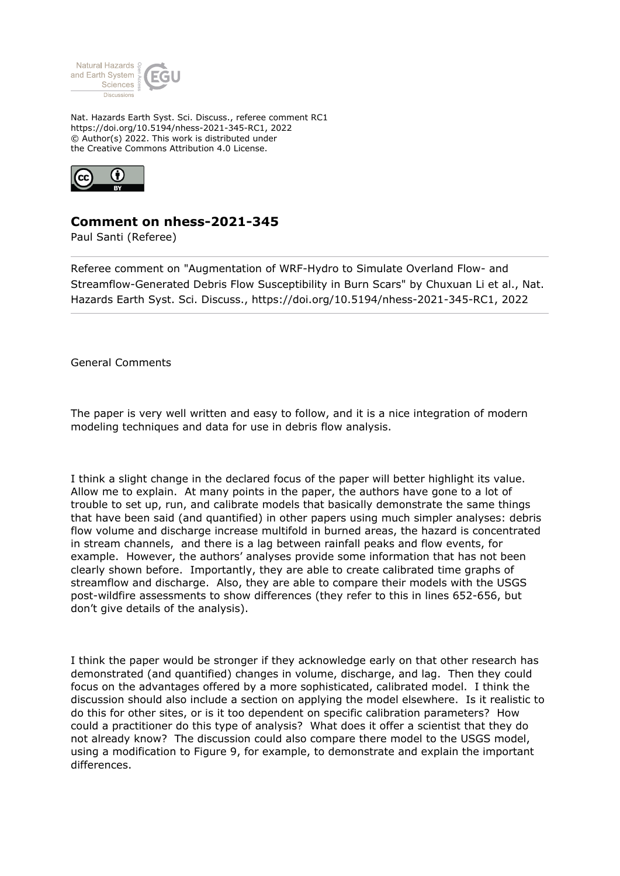

Nat. Hazards Earth Syst. Sci. Discuss., referee comment RC1 https://doi.org/10.5194/nhess-2021-345-RC1, 2022 © Author(s) 2022. This work is distributed under the Creative Commons Attribution 4.0 License.



## **Comment on nhess-2021-345**

Paul Santi (Referee)

Referee comment on "Augmentation of WRF-Hydro to Simulate Overland Flow- and Streamflow-Generated Debris Flow Susceptibility in Burn Scars" by Chuxuan Li et al., Nat. Hazards Earth Syst. Sci. Discuss., https://doi.org/10.5194/nhess-2021-345-RC1, 2022

General Comments

The paper is very well written and easy to follow, and it is a nice integration of modern modeling techniques and data for use in debris flow analysis.

I think a slight change in the declared focus of the paper will better highlight its value. Allow me to explain. At many points in the paper, the authors have gone to a lot of trouble to set up, run, and calibrate models that basically demonstrate the same things that have been said (and quantified) in other papers using much simpler analyses: debris flow volume and discharge increase multifold in burned areas, the hazard is concentrated in stream channels, and there is a lag between rainfall peaks and flow events, for example. However, the authors' analyses provide some information that has not been clearly shown before. Importantly, they are able to create calibrated time graphs of streamflow and discharge. Also, they are able to compare their models with the USGS post-wildfire assessments to show differences (they refer to this in lines 652-656, but don't give details of the analysis).

I think the paper would be stronger if they acknowledge early on that other research has demonstrated (and quantified) changes in volume, discharge, and lag. Then they could focus on the advantages offered by a more sophisticated, calibrated model. I think the discussion should also include a section on applying the model elsewhere. Is it realistic to do this for other sites, or is it too dependent on specific calibration parameters? How could a practitioner do this type of analysis? What does it offer a scientist that they do not already know? The discussion could also compare there model to the USGS model, using a modification to Figure 9, for example, to demonstrate and explain the important differences.